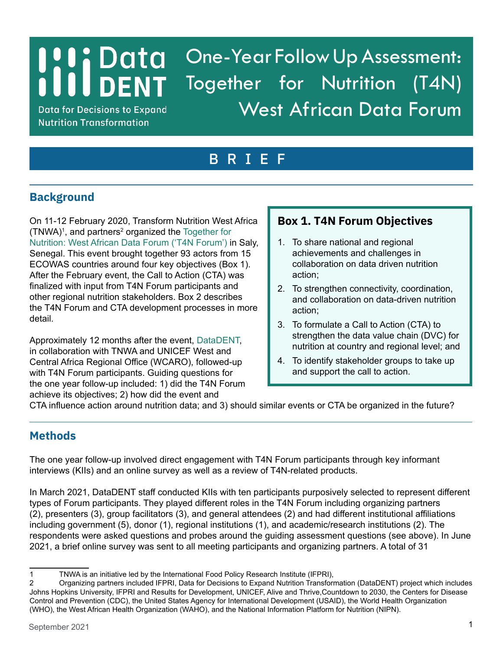# **I I i i** Data<br>I I I DENT One-Year Follow Up Assessment: Together for Nutrition (T4N) West African Data Forum

**Data for Decisions to Expand Nutrition Transformation** 

# BRIEF

## **Background**

On 11-12 February 2020, Transform Nutrition West Africa  $(TNWA)^{1}$ , and partners<sup>2</sup> organized the Together for [Nutrition: West African Data Forum \('T4N Forum'\)](https://westafrica.transformnutrition.org/event/together-for-nutrition-west-african-data-forum/) in Saly, Senegal. This event brought together 93 actors from 15 ECOWAS countries around four key objectives (Box 1). After the February event, the Call to Action (CTA) was finalized with input from T4N Forum participants and other regional nutrition stakeholders. Box 2 describes the T4N Forum and CTA development processes in more detail.

Approximately 12 months after the event, [DataDENT,](http://www.datadent.org/) in collaboration with TNWA and UNICEF West and Central Africa Regional Office (WCARO), followed-up with T4N Forum participants. Guiding questions for the one year follow-up included: 1) did the T4N Forum achieve its objectives; 2) how did the event and

## **Box 1. T4N Forum Objectives**

- 1. To share national and regional achievements and challenges in collaboration on data driven nutrition action;
- 2. To strengthen connectivity, coordination, and collaboration on data-driven nutrition action;
- 3. To formulate a Call to Action (CTA) to strengthen the data value chain (DVC) for nutrition at country and regional level; and
- 4. To identify stakeholder groups to take up and support the call to action.

CTA influence action around nutrition data; and 3) should similar events or CTA be organized in the future?

## **Methods**

The one year follow-up involved direct engagement with T4N Forum participants through key informant interviews (KIIs) and an online survey as well as a review of T4N-related products.

In March 2021, DataDENT staff conducted KIIs with ten participants purposively selected to represent different types of Forum participants. They played different roles in the T4N Forum including organizing partners (2), presenters (3), group facilitators (3), and general attendees (2) and had different institutional affiliations including government (5), donor (1), regional institutions (1), and academic/research institutions (2). The respondents were asked questions and probes around the guiding assessment questions (see above). In June 2021, a brief online survey was sent to all meeting participants and organizing partners. A total of 31

<sup>1</sup> TNWA is an initiative led by the International Food Policy Research Institute (IFPRI),

<sup>2</sup> Organizing partners included IFPRI, Data for Decisions to Expand Nutrition Transformation (DataDENT) project which includes Johns Hopkins University, IFPRI and Results for Development, UNICEF, Alive and Thrive,Countdown to 2030, the Centers for Disease Control and Prevention (CDC), the United States Agency for International Development (USAID), the World Health Organization (WHO), the West African Health Organization (WAHO), and the National Information Platform for Nutrition (NIPN).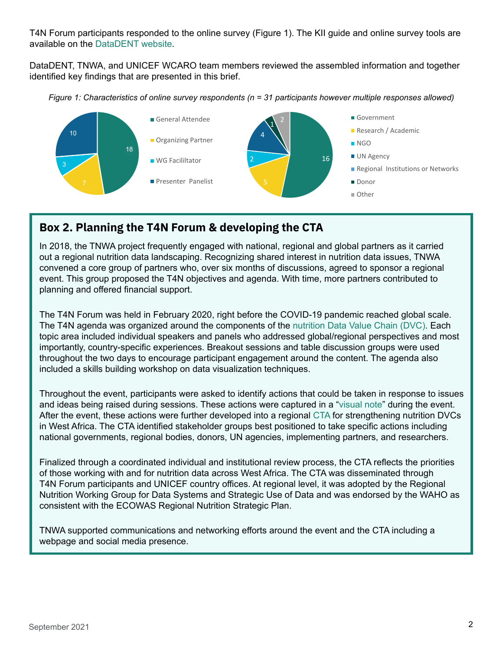T4N Forum participants responded to the online survey (Figure 1). The KII guide and online survey tools are available on the [DataDENT website.](www.datadent.org/one-year-follow-up-assessment-together-for-nutrition-west-african-data-forum) 

DataDENT, TNWA, and UNICEF WCARO team members reviewed the assembled information and together identified key findings that are presented in this brief.

*Figure 1: Characteristics of online survey respondents (n = 31 participants however multiple responses allowed)*



## **Box 2. Planning the T4N Forum & developing the CTA**

In 2018, the TNWA project frequently engaged with national, regional and global partners as it carried out a regional nutrition data landscaping. Recognizing shared interest in nutrition data issues, TNWA convened a core group of partners who, over six months of discussions, agreed to sponsor a regional event. This group proposed the T4N objectives and agenda. With time, more partners contributed to planning and offered financial support.

The T4N Forum was held in February 2020, right before the COVID-19 pandemic reached global scale. The T4N agenda was organized around the components of th[e nutrition Data Value Chain \(DVC\). E](https://sightandlife.org/wp-content/uploads/2019/08/SightandLifeMagazine_2019_Data_in_Nutrition_StrengtheningtheDataValueChain-AccountabilityandAction.pdf)ach topic area included individual speakers and panels who addressed global/regional perspectives and most importantly, country-specific experiences. Breakout sessions and table discussion groups were used throughout the two days to encourage participant engagement around the content. The agenda also included a skills building workshop on data visualization techniques.

Throughout the event, participants were asked to identify actions that could be taken in response to issues and ideas being raised during sessions. These actions were captured in a ["visual note" d](https://westafrica.transformnutrition.org/event/together-for-nutrition-west-african-data-forum/)uring the event. After the event, these actions were further developed into a regional [CTA f](https://westafrica.transformnutrition.org/wp-content/uploads/2020/10/West-Africa-nutrition-data_Call-to-Action_English.pdf)or strengthening nutrition DVCs in West Africa. The CTA identified stakeholder groups best positioned to take specific actions including national governments, regional bodies, donors, UN agencies, implementing partners, and researchers.

Finalized through a coordinated individual and institutional review process, the CTA reflects the priorities of those working with and for nutrition data across West Africa. The CTA was disseminated through T4N Forum participants and UNICEF country offices. At regional level, it was adopted by the Regional Nutrition Working Group for Data Systems and Strategic Use of Data and was endorsed by the WAHO as consistent with the ECOWAS Regional Nutrition Strategic Plan.

TNWA supported communications and networking efforts around the event and the CTA including a webpage and social media presence.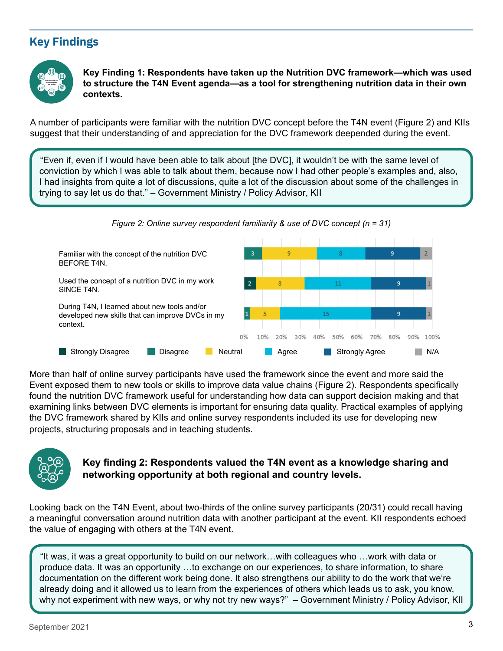## **Key Findings**



**Key Finding 1: Respondents have taken up the Nutrition DVC framework—which was used to structure the T4N Event agenda—as a tool for strengthening nutrition data in their own contexts.** 

A number of participants were familiar with the nutrition DVC concept before the T4N event (Figure 2) and KIIs suggest that their understanding of and appreciation for the DVC framework deepended during the event.

"Even if, even if I would have been able to talk about [the DVC], it wouldn't be with the same level of conviction by which I was able to talk about them, because now I had other people's examples and, also, I had insights from quite a lot of discussions, quite a lot of the discussion about some of the challenges in trying to say let us do that." – Government Ministry / Policy Advisor, KII



More than half of online survey participants have used the framework since the event and more said the Event exposed them to new tools or skills to improve data value chains (Figure 2). Respondents specifically found the nutrition DVC framework useful for understanding how data can support decision making and that examining links between DVC elements is important for ensuring data quality. Practical examples of applying the DVC framework shared by KIIs and online survey respondents included its use for developing new projects, structuring proposals and in teaching students.



#### **Key finding 2: Respondents valued the T4N event as a knowledge sharing and networking opportunity at both regional and country levels.**

Looking back on the T4N Event, about two-thirds of the online survey participants (20/31) could recall having a meaningful conversation around nutrition data with another participant at the event. KII respondents echoed the value of engaging with others at the T4N event.

"It was, it was a great opportunity to build on our network…with colleagues who …work with data or produce data. It was an opportunity …to exchange on our experiences, to share information, to share documentation on the different work being done. It also strengthens our ability to do the work that we're already doing and it allowed us to learn from the experiences of others which leads us to ask, you know, why not experiment with new ways, or why not try new ways?" – Government Ministry / Policy Advisor, KII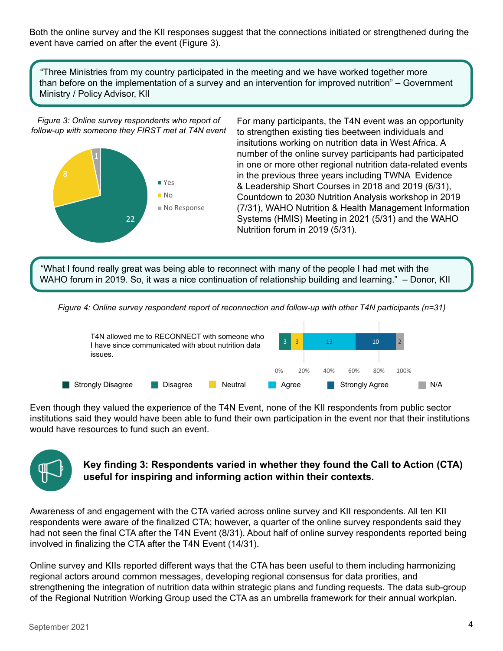Both the online survey and the KII responses suggest that the connections initiated or strengthened during the event have carried on after the event (Figure 3).

"Three Ministries from my country participated in the meeting and we have worked together more than before on the implementation of a survey and an intervention for improved nutrition" – Government Ministry / Policy Advisor, KII

*Figure 3: Online survey respondents who report of follow-up with someone they FIRST met at T4N event*



For many participants, the T4N event was an opportunity to strengthen existing ties beetween individuals and insitutions working on nutrition data in West Africa. A number of the online survey participants had participated in one or more other regional nutrition data-related events in the previous three years including TWNA Evidence & Leadership Short Courses in 2018 and 2019 (6/31), Countdown to 2030 Nutrition Analysis workshop in 2019 (7/31), WAHO Nutrition & Health Management Information Systems (HMIS) Meeting in 2021 (5/31) and the WAHO Nutrition forum in 2019 (5/31).

"What I found really great was being able to reconnect with many of the people I had met with the WAHO forum in 2019. So, it was a nice continuation of relationship building and learning." – Donor, KII

*Figure 4: Online survey respondent report of reconnection and follow-up with other T4N participants (n=31)*



Even though they valued the experience of the T4N Event, none of the KII respondents from public sector institutions said they would have been able to fund their own participation in the event nor that their institutions would have resources to fund such an event.



#### **Key finding 3: Respondents varied in whether they found the Call to Action (CTA) useful for inspiring and informing action within their contexts.**

Awareness of and engagement with the CTA varied across online survey and KII respondents. All ten KII respondents were aware of the finalized CTA; however, a quarter of the online survey respondents said they had not seen the final CTA after the T4N Event (8/31). About half of online survey respondents reported being involved in finalizing the CTA after the T4N Event (14/31).

Online survey and KIIs reported different ways that the CTA has been useful to them including harmonizing regional actors around common messages, developing regional consensus for data prorities, and strengthening the integration of nutrition data within strategic plans and funding requests. The data sub-group of the Regional Nutrition Working Group used the CTA as an umbrella framework for their annual workplan.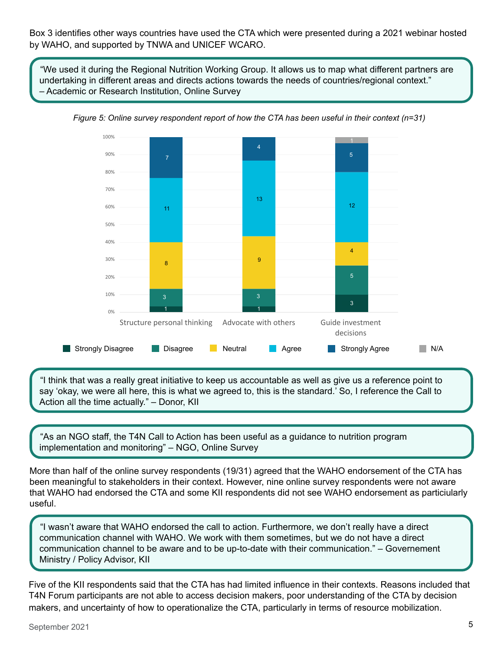Box 3 identifies other ways countries have used the CTA which were presented during a 2021 webinar hosted by WAHO, and supported by TNWA and UNICEF WCARO.

"We used it during the Regional Nutrition Working Group. It allows us to map what different partners are undertaking in different areas and directs actions towards the needs of countries/regional context." – Academic or Research Institution, Online Survey



*Figure 5: Online survey respondent report of how the CTA has been useful in their context (n=31)*

"I think that was a really great initiative to keep us accountable as well as give us a reference point to say 'okay, we were all here, this is what we agreed to, this is the standard.' So, I reference the Call to Action all the time actually." – Donor, KII

"As an NGO staff, the T4N Call to Action has been useful as a guidance to nutrition program implementation and monitoring" – NGO, Online Survey

More than half of the online survey respondents (19/31) agreed that the WAHO endorsement of the CTA has been meaningful to stakeholders in their context. However, nine online survey respondents were not aware that WAHO had endorsed the CTA and some KII respondents did not see WAHO endorsement as particiularly useful.

"I wasn't aware that WAHO endorsed the call to action. Furthermore, we don't really have a direct communication channel with WAHO. We work with them sometimes, but we do not have a direct communication channel to be aware and to be up-to-date with their communication." – Governement Ministry / Policy Advisor, KII

Five of the KII respondents said that the CTA has had limited influence in their contexts. Reasons included that T4N Forum participants are not able to access decision makers, poor understanding of the CTA by decision makers, and uncertainty of how to operationalize the CTA, particularly in terms of resource mobilization.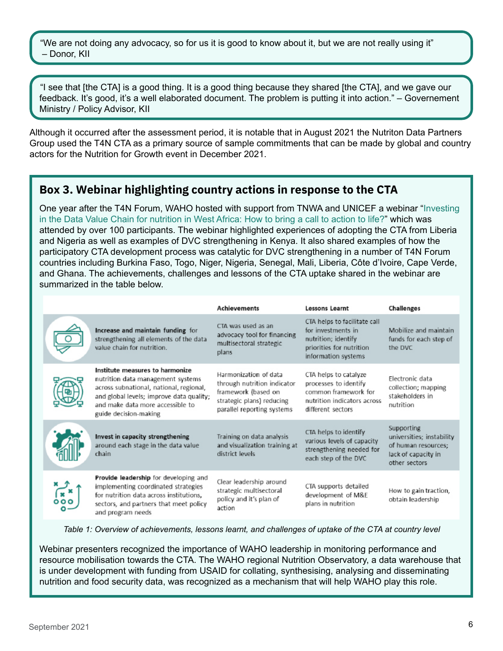"We are not doing any advocacy, so for us it is good to know about it, but we are not really using it" – Donor, KII

"I see that [the CTA] is a good thing. It is a good thing because they shared [the CTA], and we gave our feedback. It's good, it's a well elaborated document. The problem is putting it into action." – Governement Ministry / Policy Advisor, KII

Although it occurred after the assessment period, it is notable that in August 2021 the Nutriton Data Partners Group used the T4N CTA as a primary source of sample commitments that can be made by global and country actors for the Nutrition for Growth event in December 2021.

### **Box 3. Webinar highlighting country actions in response to the CTA**

One year after the T4N Forum, WAHO hosted with support from TNWA and UNICEF a webina[r "Investing](https://westafrica.transformnutrition.org/news/waho-webinar-on-country-experiences-of-adopting-the-call-to-action/)  [in the Data Value Chain for nutrition in West Africa: How to bring a call to action to life?](https://westafrica.transformnutrition.org/news/waho-webinar-on-country-experiences-of-adopting-the-call-to-action/)" which was attended by over 100 participants. The webinar highlighted experiences of adopting the CTA from Liberia and Nigeria as well as examples of DVC strengthening in Kenya. It also shared examples of how the participatory CTA development process was catalytic for DVC strengthening in a number of T4N Forum countries including Burkina Faso, Togo, Niger, Nigeria, Senegal, Mali, Liberia, Côte d'Ivoire, Cape Verde, and Ghana. The achievements, challenges and lessons of the CTA uptake shared in the webinar are summarized in the table below.

|                                                                                                                                                                                                                          | <b>Achievements</b>                                                                                                                    | <b>Lessons Learnt</b>                                                                                                        | <b>Challenges</b>                                                                                      |
|--------------------------------------------------------------------------------------------------------------------------------------------------------------------------------------------------------------------------|----------------------------------------------------------------------------------------------------------------------------------------|------------------------------------------------------------------------------------------------------------------------------|--------------------------------------------------------------------------------------------------------|
| Increase and maintain funding for<br>strengthening all elements of the data<br>value chain for nutrition.                                                                                                                | CTA was used as an<br>advocacy tool for financing<br>multisectoral strategic<br>plans                                                  | CTA helps to facilitate call<br>for investments in<br>nutrition; identify<br>priorities for nutrition<br>information systems | Mobilize and maintain<br>funds for each step of<br>the DVC                                             |
| Institute measures to harmonize<br>nutrition data management systems<br>across subnational, national, regional,<br>and global levels; improve data quality;<br>and make data more accessible to<br>guide decision-making | Harmonization of data<br>through nutrition indicator<br>framework (based on<br>strategic plans) reducing<br>parallel reporting systems | CTA helps to catalyze<br>processes to identify<br>common framework for<br>nutrition indicators across<br>different sectors   | Flectronic data<br>collection; mapping<br>stakeholders in<br>nutrition                                 |
| Invest in capacity strengthening<br>around each stage in the data value<br>chain                                                                                                                                         | Training on data analysis<br>and visualization training at<br>district levels                                                          | CTA helps to identify<br>various levels of capacity<br>strengthening needed for<br>each step of the DVC                      | Supporting<br>universities; instability<br>of human resources;<br>lack of capacity in<br>other sectors |
| Provide leadership for developing and<br>implementing coordinated strategies<br>for nutrition data across institutions,<br>sectors, and partners that meet policy<br>and program needs                                   | Clear leadership around<br>strategic multisectoral<br>policy and it's plan of<br>action                                                | CTA supports detailed<br>development of M&E<br>plans in nutrition                                                            | How to gain traction,<br>obtain leadership                                                             |

*Table 1: Overview of achievements, lessons learnt, and challenges of uptake of the CTA at country level* 

Webinar presenters recognized the importance of WAHO leadership in monitoring performance and resource mobilisation towards the CTA. The WAHO regional Nutrition Observatory, a data warehouse that is under development with funding from USAID for collating, synthesising, analysing and disseminating nutrition and food security data, was recognized as a mechanism that will help WAHO play this role.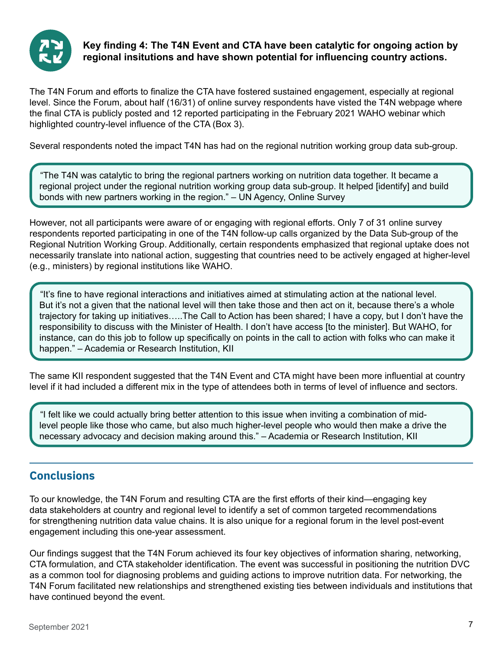

#### **Key finding 4: The T4N Event and CTA have been catalytic for ongoing action by regional insitutions and have shown potential for influencing country actions.**

The T4N Forum and efforts to finalize the CTA have fostered sustained engagement, especially at regional level. Since the Forum, about half (16/31) of online survey respondents have visted the T4N webpage where the final CTA is publicly posted and 12 reported participating in the February 2021 WAHO webinar which highlighted country-level influence of the CTA (Box 3).

Several respondents noted the impact T4N has had on the regional nutrition working group data sub-group.

"The T4N was catalytic to bring the regional partners working on nutrition data together. It became a regional project under the regional nutrition working group data sub-group. It helped [identify] and build bonds with new partners working in the region." – UN Agency, Online Survey

However, not all participants were aware of or engaging with regional efforts. Only 7 of 31 online survey respondents reported participating in one of the T4N follow-up calls organized by the Data Sub-group of the Regional Nutrition Working Group. Additionally, certain respondents emphasized that regional uptake does not necessarily translate into national action, suggesting that countries need to be actively engaged at higher-level (e.g., ministers) by regional institutions like WAHO.

"It's fine to have regional interactions and initiatives aimed at stimulating action at the national level. But it's not a given that the national level will then take those and then act on it, because there's a whole trajectory for taking up initiatives…..The Call to Action has been shared; I have a copy, but I don't have the responsibility to discuss with the Minister of Health. I don't have access [to the minister]. But WAHO, for instance, can do this job to follow up specifically on points in the call to action with folks who can make it happen." – Academia or Research Institution, KII

The same KII respondent suggested that the T4N Event and CTA might have been more influential at country level if it had included a different mix in the type of attendees both in terms of level of influence and sectors.

"I felt like we could actually bring better attention to this issue when inviting a combination of midlevel people like those who came, but also much higher-level people who would then make a drive the necessary advocacy and decision making around this." – Academia or Research Institution, KII

### **Conclusions**

To our knowledge, the T4N Forum and resulting CTA are the first efforts of their kind—engaging key data stakeholders at country and regional level to identify a set of common targeted recommendations for strengthening nutrition data value chains. It is also unique for a regional forum in the level post-event engagement including this one-year assessment.

Our findings suggest that the T4N Forum achieved its four key objectives of information sharing, networking, CTA formulation, and CTA stakeholder identification. The event was successful in positioning the nutrition DVC as a common tool for diagnosing problems and guiding actions to improve nutrition data. For networking, the T4N Forum facilitated new relationships and strengthened existing ties between individuals and institutions that have continued beyond the event.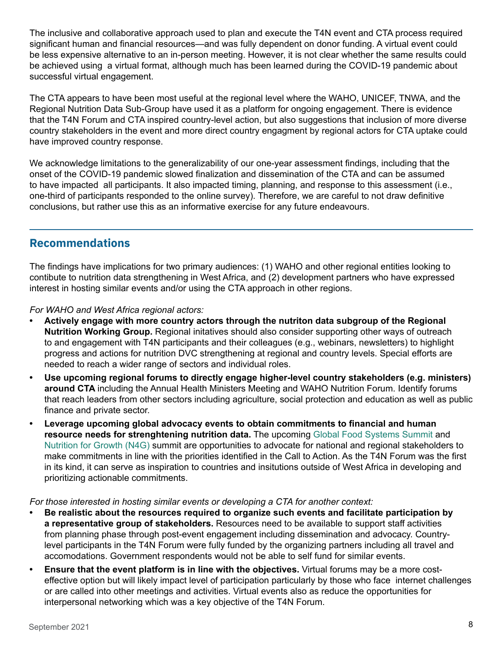The inclusive and collaborative approach used to plan and execute the T4N event and CTA process required significant human and financial resources—and was fully dependent on donor funding. A virtual event could be less expensive alternative to an in-person meeting. However, it is not clear whether the same results could be achieved using a virtual format, although much has been learned during the COVID-19 pandemic about successful virtual engagement.

The CTA appears to have been most useful at the regional level where the WAHO, UNICEF, TNWA, and the Regional Nutrition Data Sub-Group have used it as a platform for ongoing engagement. There is evidence that the T4N Forum and CTA inspired country-level action, but also suggestions that inclusion of more diverse country stakeholders in the event and more direct country engagment by regional actors for CTA uptake could have improved country response.

We acknowledge limitations to the generalizability of our one-year assessment findings, including that the onset of the COVID-19 pandemic slowed finalization and dissemination of the CTA and can be assumed to have impacted all participants. It also impacted timing, planning, and response to this assessment (i.e., one-third of participants responded to the online survey). Therefore, we are careful to not draw definitive conclusions, but rather use this as an informative exercise for any future endeavours.

### **Recommendations**

The findings have implications for two primary audiences: (1) WAHO and other regional entities looking to contibute to nutrition data strengthening in West Africa, and (2) development partners who have expressed interest in hosting similar events and/or using the CTA approach in other regions.

*For WAHO and West Africa regional actors:*

- **• Actively engage with more country actors through the nutriton data subgroup of the Regional Nutrition Working Group.** Regional initatives should also consider supporting other ways of outreach to and engagement with T4N participants and their colleagues (e.g., webinars, newsletters) to highlight progress and actions for nutrition DVC strengthening at regional and country levels. Special efforts are needed to reach a wider range of sectors and individual roles.
- **• Use upcoming regional forums to directly engage higher-level country stakeholders (e.g. ministers) around CTA** including the Annual Health Ministers Meeting and WAHO Nutrition Forum. Identify forums that reach leaders from other sectors including agriculture, social protection and education as well as public finance and private sector.
- **• Leverage upcoming global advocacy events to obtain commitments to financial and human resource needs for strenghtening nutrition data.** The upcoming [Global Food Systems Summit an](https://www.un.org/en/food-systems-summit)d [Nutrition for Growth \(N4G\) s](https://nutritionforgrowth.org/)ummit are opportunities to advocate for national and regional stakeholders to make commitments in line with the priorities identified in the Call to Action. As the T4N Forum was the first in its kind, it can serve as inspiration to countries and insitutions outside of West Africa in developing and prioritizing actionable commitments.

#### *For those interested in hosting similar events or developing a CTA for another context:*

- **• Be realistic about the resources required to organize such events and facilitate participation by a representative group of stakeholders.** Resources need to be available to support staff activities from planning phase through post-event engagement including dissemination and advocacy. Countrylevel participants in the T4N Forum were fully funded by the organizing partners including all travel and accomodations. Government respondents would not be able to self fund for similar events.
- **• Ensure that the event platform is in line with the objectives.** Virtual forums may be a more costeffective option but will likely impact level of participation particularly by those who face internet challenges or are called into other meetings and activities. Virtual events also as reduce the opportunities for interpersonal networking which was a key objective of the T4N Forum.